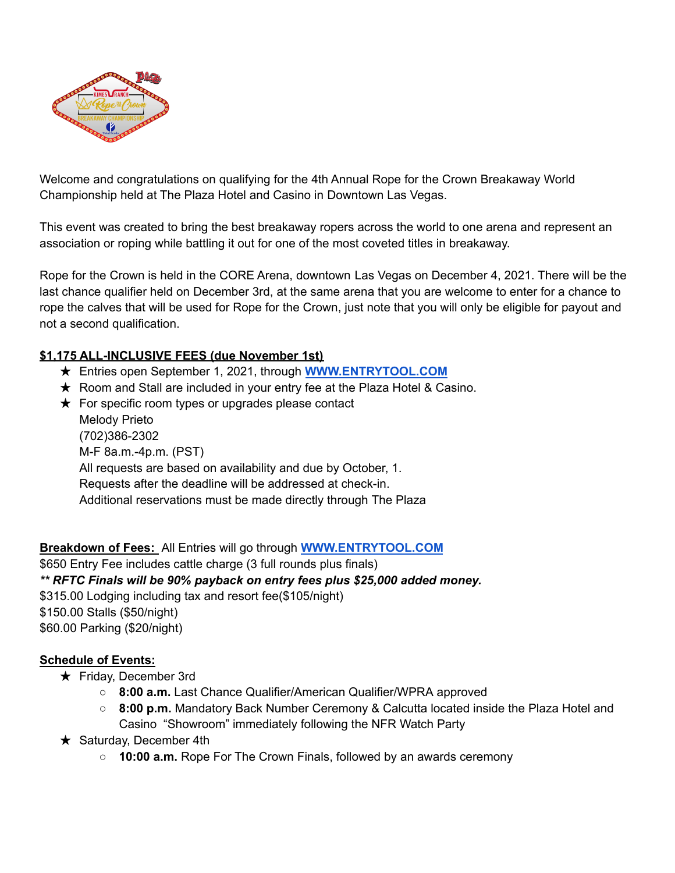

Welcome and congratulations on qualifying for the 4th Annual Rope for the Crown Breakaway World Championship held at The Plaza Hotel and Casino in Downtown Las Vegas.

This event was created to bring the best breakaway ropers across the world to one arena and represent an association or roping while battling it out for one of the most coveted titles in breakaway.

Rope for the Crown is held in the CORE Arena, downtown Las Vegas on December 4, 2021. There will be the last chance qualifier held on December 3rd, at the same arena that you are welcome to enter for a chance to rope the calves that will be used for Rope for the Crown, just note that you will only be eligible for payout and not a second qualification.

## **\$1,175 ALL-INCLUSIVE FEES (due November 1st)**

- ★ Entries open September 1, 2021, through **[WWW.ENTRYTOOL.COM](http://www.entrytool.com)**
- ★ Room and Stall are included in your entry fee at the Plaza Hotel & Casino.
- $\star$  For specific room types or upgrades please contact Melody Prieto (702)386-2302 M-F 8a.m.-4p.m. (PST) All requests are based on availability and due by October, 1. Requests after the deadline will be addressed at check-in. Additional reservations must be made directly through The Plaza

**Breakdown of Fees:** All Entries will go through **[WWW.ENTRYTOOL.COM](http://www.entrytool.com)** \$650 Entry Fee includes cattle charge (3 full rounds plus finals) *\*\* RFTC Finals will be 90% payback on entry fees plus \$25,000 added money.* \$315.00 Lodging including tax and resort fee(\$105/night) \$150.00 Stalls (\$50/night) \$60.00 Parking (\$20/night)

## **Schedule of Events:**

- ★ Friday, December 3rd
	- **8:00 a.m.** Last Chance Qualifier/American Qualifier/WPRA approved
	- **8:00 p.m.** Mandatory Back Number Ceremony & Calcutta located inside the Plaza Hotel and Casino "Showroom" immediately following the NFR Watch Party
- $\star$  Saturday, December 4th
	- **10:00 a.m.** Rope For The Crown Finals, followed by an awards ceremony